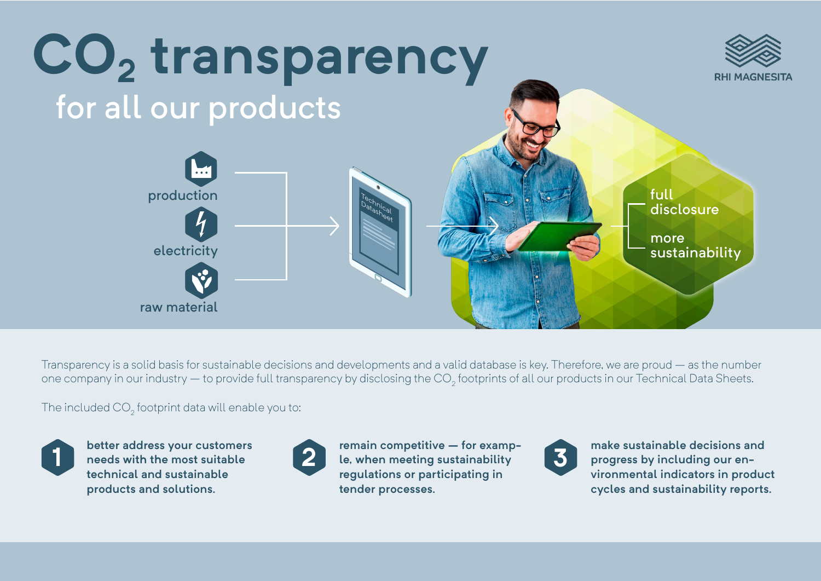

Transparency is a solid basis for sustainable decisions and developments and a valid database is key. Therefore, we are proud – as the number one company in our industry — to provide full transparency by disclosing the CO<sub>2</sub> footprints of all our products in our Technical Data Sheets.

The included CO $_{\textrm{\tiny{2}}}$  footprint data will enable you to:



**better address your customers needs with the most suitable technical and sustainable products and solutions.**



**remain competitive – for examp-1 1 2 2 1 2 1 2 1 2 1 2 1 2 1 2 1 2 1 2 1 2 1 2 1 2 1 2 1 2 1 2 1 2 1 2 1 2 1 2 1 2 1 2 1 2 1 2 1 2 1 2 1 2 1 2 regulations or participating in tender processes.** 



**make sustainable decisions and progress by including our environmental indicators in product cycles and sustainability reports.**